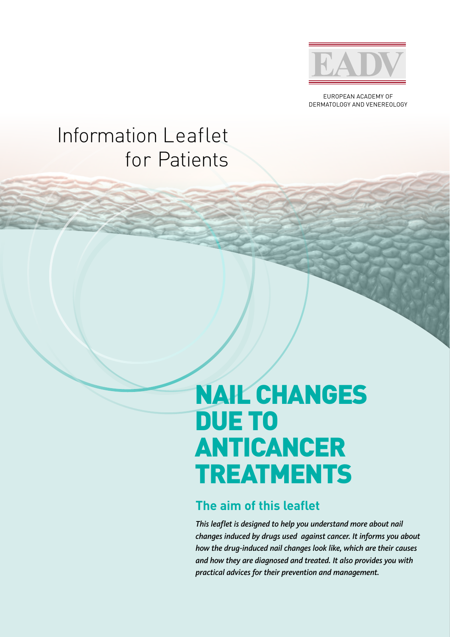

EUROPEAN ACADEMY OF DERMATOLOGY AND VENEREOLOGY

## Information Leaflet for Patients

# NAIL CHANGES DUE TO ANTICANCER TREATMENTS

#### **The aim of this leaflet**

*This leaflet is designed to help you understand more about nail changes induced by drugs used against cancer. It informs you about how the drug-induced nail changes look like, which are their causes and how they are diagnosed and treated. It also provides you with practical advices for their prevention and management.*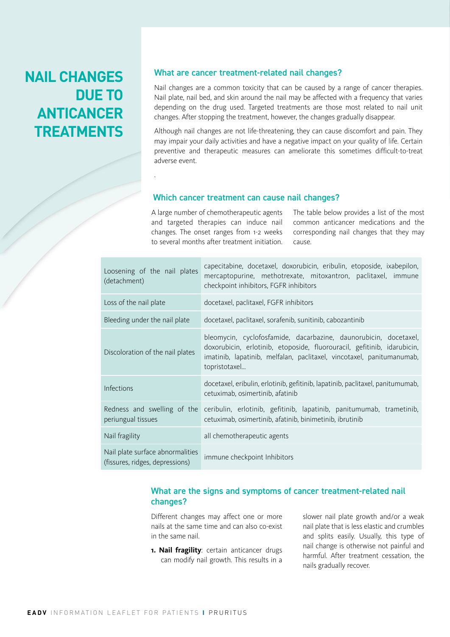## **NAIL CHANGES DUE TO ANTICANCER TREATMENTS**

#### What are cancer treatment-related nail changes?

Nail changes are a common toxicity that can be caused by a range of cancer therapies. Nail plate, nail bed, and skin around the nail may be affected with a frequency that varies depending on the drug used. Targeted treatments are those most related to nail unit changes. After stopping the treatment, however, the changes gradually disappear.

Although nail changes are not life-threatening, they can cause discomfort and pain. They may impair your daily activities and have a negative impact on your quality of life. Certain preventive and therapeutic measures can ameliorate this sometimes difficult-to-treat adverse event.

#### Which cancer treatment can cause nail changes?

A large number of chemotherapeutic agents and targeted therapies can induce nail changes. The onset ranges from 1-2 weeks to several months after treatment initiation.

.

The table below provides a list of the most common anticancer medications and the corresponding nail changes that they may cause.

| Loosening of the nail plates<br>(detachment)                        | capecitabine, docetaxel, doxorubicin, eribulin, etoposide, ixabepilon,<br>mercaptopurine, methotrexate, mitoxantron, paclitaxel, immune<br>checkpoint inhibitors, FGFR inhibitors                                                     |
|---------------------------------------------------------------------|---------------------------------------------------------------------------------------------------------------------------------------------------------------------------------------------------------------------------------------|
| Loss of the nail plate                                              | docetaxel, paclitaxel, FGFR inhibitors                                                                                                                                                                                                |
| Bleeding under the nail plate                                       | docetaxel, paclitaxel, sorafenib, sunitinib, cabozantinib                                                                                                                                                                             |
| Discoloration of the nail plates                                    | bleomycin, cyclofosfamide, dacarbazine, daunorubicin, docetaxel,<br>doxorubicin, erlotinib, etoposide, fluorouracil, gefitinib, idarubicin,<br>imatinib, lapatinib, melfalan, paclitaxel, vincotaxel, panitumanumab,<br>topristotaxel |
| Infections                                                          | docetaxel, eribulin, erlotinib, gefitinib, lapatinib, paclitaxel, panitumumab,<br>cetuximab, osimertinib, afatinib                                                                                                                    |
| Redness and swelling of the<br>periungual tissues                   | ceribulin, erlotinib, gefitinib, lapatinib, panitumumab, trametinib,<br>cetuximab, osimertinib, afatinib, binimetinib, ibrutinib                                                                                                      |
| Nail fragility                                                      | all chemotherapeutic agents                                                                                                                                                                                                           |
| Nail plate surface abnormalities<br>(fissures, ridges, depressions) | immune checkpoint Inhibitors                                                                                                                                                                                                          |

#### What are the signs and symptoms of cancer treatment-related nail changes?

Different changes may affect one or more nails at the same time and can also co-exist in the same nail.

**1. Nail fragility**: certain anticancer drugs can modify nail growth. This results in a slower nail plate growth and/or a weak nail plate that is less elastic and crumbles and splits easily. Usually, this type of nail change is otherwise not painful and harmful. After treatment cessation, the nails gradually recover.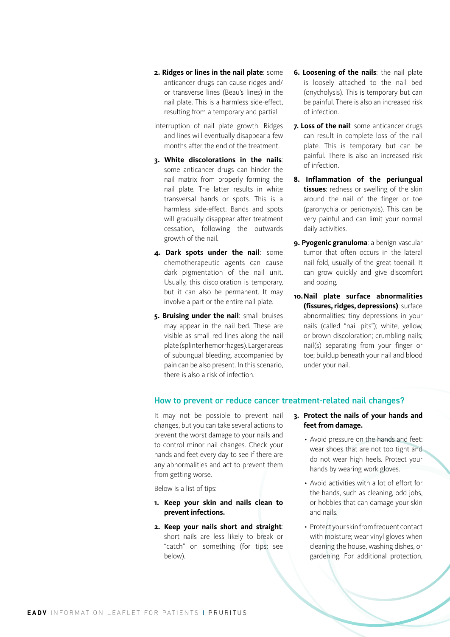- **2. Ridges or lines in the nail plate**: some anticancer drugs can cause ridges and/ or transverse lines (Beau's lines) in the nail plate. This is a harmless side-effect, resulting from a temporary and partial
- interruption of nail plate growth. Ridges and lines will eventually disappear a few months after the end of the treatment.
- **3. White discolorations in the nails**: some anticancer drugs can hinder the nail matrix from properly forming the nail plate. The latter results in white transversal bands or spots. This is a harmless side-effect. Bands and spots will gradually disappear after treatment cessation, following the outwards growth of the nail.
- **4. Dark spots under the nail**: some chemotherapeutic agents can cause dark pigmentation of the nail unit. Usually, this discoloration is temporary, but it can also be permanent. It may involve a part or the entire nail plate.
- **5. Bruising under the nail**: small bruises may appear in the nail bed. These are visible as small red lines along the nail plate (splinter hemorrhages). Larger areas of subungual bleeding, accompanied by pain can be also present. In this scenario, there is also a risk of infection.
- **6. Loosening of the nails**: the nail plate is loosely attached to the nail bed (onycholysis). This is temporary but can be painful. There is also an increased risk of infection.
- **7. Loss of the nail**: some anticancer drugs can result in complete loss of the nail plate. This is temporary but can be painful. There is also an increased risk of infection.
- **8. Inflammation of the periungual tissues**: redness or swelling of the skin around the nail of the finger or toe (paronychia or perionyxis). This can be very painful and can limit your normal daily activities.
- **9. Pyogenic granuloma**: a benign vascular tumor that often occurs in the lateral nail fold, usually of the great toenail. It can grow quickly and give discomfort and oozing.
- **10.Nail plate surface abnormalities (fissures, ridges, depressions)**: surface abnormalities: tiny depressions in your nails (called "nail pits"); white, yellow, or brown discoloration; crumbling nails; nail(s) separating from your finger or toe; buildup beneath your nail and blood under your nail.

#### How to prevent or reduce cancer treatment-related nail changes?

It may not be possible to prevent nail changes, but you can take several actions to prevent the worst damage to your nails and to control minor nail changes. Check your hands and feet every day to see if there are any abnormalities and act to prevent them from getting worse.

Below is a list of tips:

- **1. Keep your skin and nails clean to prevent infections.**
- **2. Keep your nails short and straight**: short nails are less likely to break or "catch" on something (for tips: see below).
- **3. Protect the nails of your hands and feet from damage.**
	- Avoid pressure on the hands and feet: wear shoes that are not too tight and do not wear high heels. Protect your hands by wearing work gloves.
	- Avoid activities with a lot of effort for the hands, such as cleaning, odd jobs, or hobbies that can damage your skin and nails.
	- Protect your skin from frequent contact with moisture; wear vinyl gloves when cleaning the house, washing dishes, or gardening. For additional protection,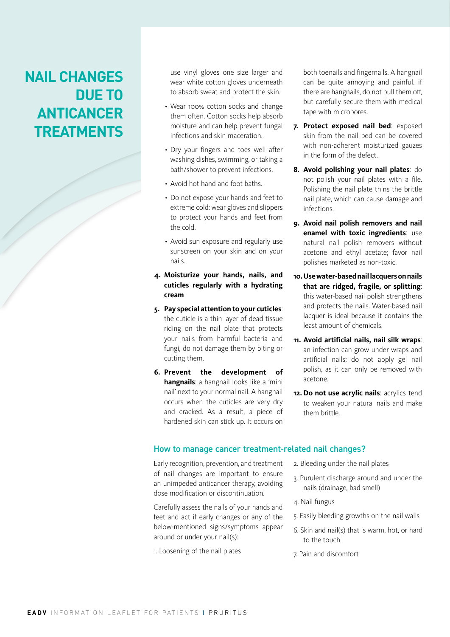## **NAIL CHANGES DUE TO ANTICANCER TREATMENTS**

use vinyl gloves one size larger and wear white cotton gloves underneath to absorb sweat and protect the skin.

- Wear 100% cotton socks and change them often. Cotton socks help absorb moisture and can help prevent fungal infections and skin maceration.
- Dry your fingers and toes well after washing dishes, swimming, or taking a bath/shower to prevent infections.
- Avoid hot hand and foot baths.
- Do not expose your hands and feet to extreme cold: wear gloves and slippers to protect your hands and feet from the cold.
- Avoid sun exposure and regularly use sunscreen on your skin and on your nails.

#### **4. Moisturize your hands, nails, and cuticles regularly with a hydrating cream**

- **5. Pay special attention to your cuticles**: the cuticle is a thin layer of dead tissue riding on the nail plate that protects your nails from harmful bacteria and fungi, do not damage them by biting or cutting them.
- **6. Prevent the development of hangnails**: a hangnail looks like a 'mini nail' next to your normal nail. A hangnail occurs when the cuticles are very dry and cracked. As a result, a piece of hardened skin can stick up. It occurs on

both toenails and fingernails. A hangnail can be quite annoying and painful. if there are hangnails, do not pull them off, but carefully secure them with medical tape with micropores.

- **7. Protect exposed nail bed**: exposed skin from the nail bed can be covered with non-adherent moisturized gauzes in the form of the defect.
- **8. Avoid polishing your nail plates**: do not polish your nail plates with a file. Polishing the nail plate thins the brittle nail plate, which can cause damage and infections.
- **9. Avoid nail polish removers and nail enamel with toxic ingredients**: use natural nail polish removers without acetone and ethyl acetate; favor nail polishes marketed as non-toxic.
- **10.Use water-based nail lacquers on nails that are ridged, fragile, or splitting**: this water-based nail polish strengthens and protects the nails. Water-based nail lacquer is ideal because it contains the least amount of chemicals.
- **11. Avoid artificial nails, nail silk wraps**: an infection can grow under wraps and artificial nails; do not apply gel nail polish, as it can only be removed with acetone.
- **12. Do not use acrylic nails**: acrylics tend to weaken your natural nails and make them brittle.

#### How to manage cancer treatment-related nail changes?

Early recognition, prevention, and treatment of nail changes are important to ensure an unimpeded anticancer therapy, avoiding dose modification or discontinuation.

Carefully assess the nails of your hands and feet and act if early changes or any of the below-mentioned signs/symptoms appear around or under your nail(s):

1. Loosening of the nail plates

- 2. Bleeding under the nail plates
- 3. Purulent discharge around and under the nails (drainage, bad smell)
- 4. Nail fungus
- 5. Easily bleeding growths on the nail walls
- 6. Skin and nail(s) that is warm, hot, or hard to the touch
- 7. Pain and discomfort